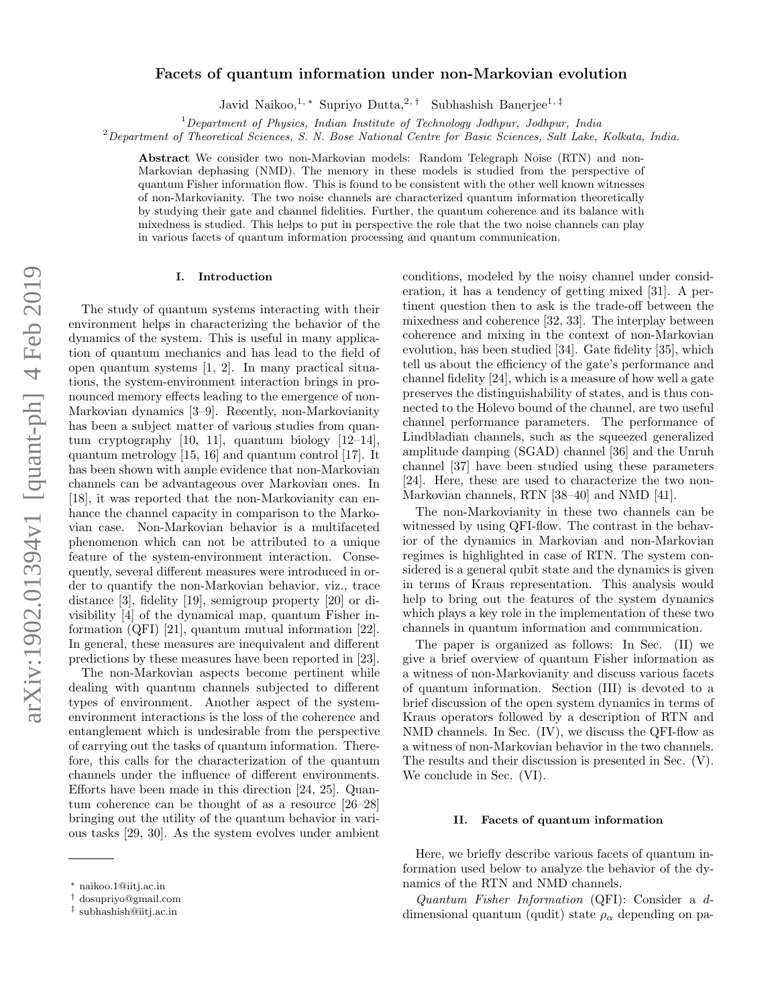# arXiv:1902.01394v1 [quant-ph] 4 Feb 2019 arXiv:1902.01394v1 [quant-ph] 4 Feb 2019

# Facets of quantum information under non-Markovian evolution

Javid Naikoo,<sup>1, \*</sup> Supriyo Dutta,<sup>2, †</sup> Subhashish Banerjee<sup>1, ‡</sup>

 $1$ Department of Physics, Indian Institute of Technology Jodhpur, Jodhpur, India

<sup>2</sup>Department of Theoretical Sciences, S. N. Bose National Centre for Basic Sciences, Salt Lake, Kolkata, India.

Abstract We consider two non-Markovian models: Random Telegraph Noise (RTN) and non-Markovian dephasing (NMD). The memory in these models is studied from the perspective of quantum Fisher information flow. This is found to be consistent with the other well known witnesses of non-Markovianity. The two noise channels are characterized quantum information theoretically by studying their gate and channel fidelities. Further, the quantum coherence and its balance with mixedness is studied. This helps to put in perspective the role that the two noise channels can play in various facets of quantum information processing and quantum communication.

### I. Introduction

The study of quantum systems interacting with their environment helps in characterizing the behavior of the dynamics of the system. This is useful in many application of quantum mechanics and has lead to the field of open quantum systems [1, 2]. In many practical situations, the system-environment interaction brings in pronounced memory effects leading to the emergence of non-Markovian dynamics [3–9]. Recently, non-Markovianity has been a subject matter of various studies from quantum cryptography [10, 11], quantum biology [12–14], quantum metrology [15, 16] and quantum control [17]. It has been shown with ample evidence that non-Markovian channels can be advantageous over Markovian ones. In [18], it was reported that the non-Markovianity can enhance the channel capacity in comparison to the Markovian case. Non-Markovian behavior is a multifaceted phenomenon which can not be attributed to a unique feature of the system-environment interaction. Consequently, several different measures were introduced in order to quantify the non-Markovian behavior, viz., trace distance [3], fidelity [19], semigroup property [20] or divisibility [4] of the dynamical map, quantum Fisher information (QFI) [21], quantum mutual information [22]. In general, these measures are inequivalent and different predictions by these measures have been reported in [23].

The non-Markovian aspects become pertinent while dealing with quantum channels subjected to different types of environment. Another aspect of the systemenvironment interactions is the loss of the coherence and entanglement which is undesirable from the perspective of carrying out the tasks of quantum information. Therefore, this calls for the characterization of the quantum channels under the influence of different environments. Efforts have been made in this direction [24, 25]. Quantum coherence can be thought of as a resource [26–28] bringing out the utility of the quantum behavior in various tasks [29, 30]. As the system evolves under ambient

conditions, modeled by the noisy channel under consideration, it has a tendency of getting mixed [31]. A pertinent question then to ask is the trade-off between the mixedness and coherence [32, 33]. The interplay between coherence and mixing in the context of non-Markovian evolution, has been studied [34]. Gate fidelity [35], which tell us about the efficiency of the gate's performance and channel fidelity [24], which is a measure of how well a gate preserves the distinguishability of states, and is thus connected to the Holevo bound of the channel, are two useful channel performance parameters. The performance of Lindbladian channels, such as the squeezed generalized amplitude damping (SGAD) channel [36] and the Unruh channel [37] have been studied using these parameters [24]. Here, these are used to characterize the two non-Markovian channels, RTN [38–40] and NMD [41].

The non-Markovianity in these two channels can be witnessed by using QFI-flow. The contrast in the behavior of the dynamics in Markovian and non-Markovian regimes is highlighted in case of RTN. The system considered is a general qubit state and the dynamics is given in terms of Kraus representation. This analysis would help to bring out the features of the system dynamics which plays a key role in the implementation of these two channels in quantum information and communication.

The paper is organized as follows: In Sec. (II) we give a brief overview of quantum Fisher information as a witness of non-Markovianity and discuss various facets of quantum information. Section (III) is devoted to a brief discussion of the open system dynamics in terms of Kraus operators followed by a description of RTN and NMD channels. In Sec. (IV), we discuss the QFI-flow as a witness of non-Markovian behavior in the two channels. The results and their discussion is presented in Sec. (V). We conclude in Sec. (VI).

### II. Facets of quantum information

Here, we briefly describe various facets of quantum information used below to analyze the behavior of the dynamics of the RTN and NMD channels.

Quantum Fisher Information (QFI): Consider a ddimensional quantum (qudit) state  $\rho_{\alpha}$  depending on pa-

<sup>∗</sup> naikoo.1@iitj.ac.in

<sup>†</sup> dosupriyo@gmail.com

<sup>‡</sup> subhashish@iitj.ac.in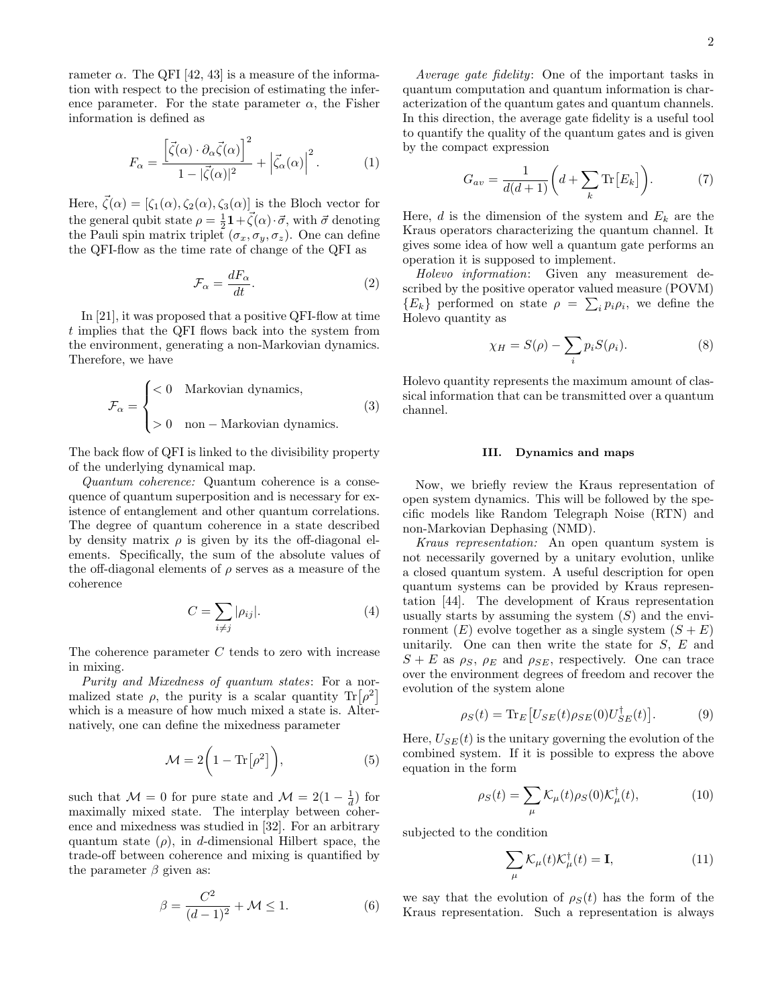rameter  $\alpha$ . The QFI [42, 43] is a measure of the information with respect to the precision of estimating the inference parameter. For the state parameter  $\alpha$ , the Fisher information is defined as

$$
F_{\alpha} = \frac{\left[\vec{\zeta}(\alpha) \cdot \partial_{\alpha} \vec{\zeta}(\alpha)\right]^{2}}{1 - |\vec{\zeta}(\alpha)|^{2}} + \left|\vec{\zeta}_{\alpha}(\alpha)\right|^{2}.
$$
 (1)

Here,  $\vec{\zeta}(\alpha) = [\zeta_1(\alpha), \zeta_2(\alpha), \zeta_3(\alpha)]$  is the Bloch vector for the general qubit state  $\rho = \frac{1}{2}\mathbf{1} + \vec{\zeta}(\alpha) \cdot \vec{\sigma}$ , with  $\vec{\sigma}$  denoting the Pauli spin matrix triplet  $(\sigma_x, \sigma_y, \sigma_z)$ . One can define the QFI-flow as the time rate of change of the QFI as

$$
\mathcal{F}_{\alpha} = \frac{dF_{\alpha}}{dt}.
$$
 (2)

In [21], it was proposed that a positive QFI-flow at time t implies that the QFI flows back into the system from the environment, generating a non-Markovian dynamics. Therefore, we have

$$
\mathcal{F}_{\alpha} = \begin{cases}\n< 0 & \text{Markovian dynamics,} \\
> 0 & \text{non}-\text{Markovian dynamics.} \n\end{cases}
$$
\n(3)

The back flow of QFI is linked to the divisibility property of the underlying dynamical map.

Quantum coherence: Quantum coherence is a consequence of quantum superposition and is necessary for existence of entanglement and other quantum correlations. The degree of quantum coherence in a state described by density matrix  $\rho$  is given by its the off-diagonal elements. Specifically, the sum of the absolute values of the off-diagonal elements of  $\rho$  serves as a measure of the coherence

$$
C = \sum_{i \neq j} |\rho_{ij}|. \tag{4}
$$

The coherence parameter C tends to zero with increase in mixing.

Purity and Mixedness of quantum states: For a normalized state  $\rho$ , the purity is a scalar quantity  $\text{Tr}[\rho^2]$ which is a measure of how much mixed a state is. Alternatively, one can define the mixedness parameter

$$
\mathcal{M} = 2\bigg(1 - \text{Tr}\big[\rho^2\big]\bigg),\tag{5}
$$

such that  $\mathcal{M} = 0$  for pure state and  $\mathcal{M} = 2(1 - \frac{1}{d})$  for maximally mixed state. The interplay between coherence and mixedness was studied in [32]. For an arbitrary quantum state  $(\rho)$ , in d-dimensional Hilbert space, the trade-off between coherence and mixing is quantified by the parameter  $\beta$  given as:

$$
\beta = \frac{C^2}{(d-1)^2} + \mathcal{M} \le 1.
$$
\n<sup>(6)</sup>

Average gate fidelity: One of the important tasks in quantum computation and quantum information is characterization of the quantum gates and quantum channels. In this direction, the average gate fidelity is a useful tool to quantify the quality of the quantum gates and is given by the compact expression

$$
G_{av} = \frac{1}{d(d+1)} \bigg( d + \sum_{k} \text{Tr} \big[ E_k \big] \bigg). \tag{7}
$$

Here, d is the dimension of the system and  $E_k$  are the Kraus operators characterizing the quantum channel. It gives some idea of how well a quantum gate performs an operation it is supposed to implement.

Holevo information: Given any measurement described by the positive operator valued measure (POVM)  ${E_k}$  performed on state  $\rho = \sum_i p_i \rho_i$ , we define the Holevo quantity as

$$
\chi_H = S(\rho) - \sum_i p_i S(\rho_i). \tag{8}
$$

Holevo quantity represents the maximum amount of classical information that can be transmitted over a quantum channel.

# III. Dynamics and maps

Now, we briefly review the Kraus representation of open system dynamics. This will be followed by the specific models like Random Telegraph Noise (RTN) and non-Markovian Dephasing (NMD).

Kraus representation: An open quantum system is not necessarily governed by a unitary evolution, unlike a closed quantum system. A useful description for open quantum systems can be provided by Kraus representation [44]. The development of Kraus representation usually starts by assuming the system  $(S)$  and the environment  $(E)$  evolve together as a single system  $(S + E)$ unitarily. One can then write the state for  $S, E$  and  $S + E$  as  $\rho_S$ ,  $\rho_E$  and  $\rho_{SE}$ , respectively. One can trace over the environment degrees of freedom and recover the evolution of the system alone

$$
\rho_S(t) = \text{Tr}_E \left[ U_{SE}(t) \rho_{SE}(0) U_{SE}^\dagger(t) \right]. \tag{9}
$$

Here,  $U_{SE}(t)$  is the unitary governing the evolution of the combined system. If it is possible to express the above equation in the form

$$
\rho_S(t) = \sum_{\mu} \mathcal{K}_{\mu}(t) \rho_S(0) \mathcal{K}_{\mu}^{\dagger}(t), \tag{10}
$$

subjected to the condition

$$
\sum_{\mu} \mathcal{K}_{\mu}(t)\mathcal{K}_{\mu}^{\dagger}(t) = \mathbf{I},\tag{11}
$$

we say that the evolution of  $\rho_S(t)$  has the form of the Kraus representation. Such a representation is always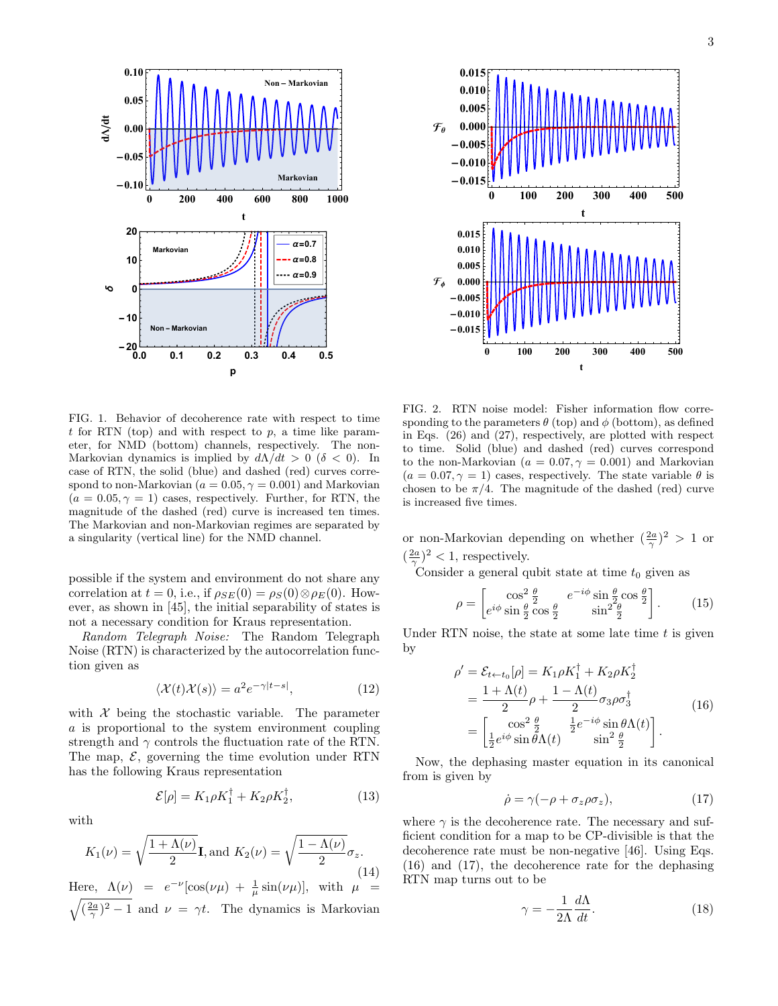

**0 100 200 300 400 500**  $-0.015$ **-0.010 -0.005 0.000 0.005 0.010 0.015 t FΘ 0 100 200 300 400 500**  $-0.01$ **-0.010 -0.005 0.000 0.005 0.010 0.015**  $\mathcal{F}_{\phi}$ 

FIG. 1. Behavior of decoherence rate with respect to time t for RTN (top) and with respect to  $p$ , a time like parameter, for NMD (bottom) channels, respectively. The non-Markovian dynamics is implied by  $d\Lambda/dt > 0$  (δ < 0). In case of RTN, the solid (blue) and dashed (red) curves correspond to non-Markovian ( $a = 0.05, \gamma = 0.001$ ) and Markovian  $(a = 0.05, \gamma = 1)$  cases, respectively. Further, for RTN, the magnitude of the dashed (red) curve is increased ten times. The Markovian and non-Markovian regimes are separated by a singularity (vertical line) for the NMD channel.

possible if the system and environment do not share any correlation at  $t = 0$ , i.e., if  $\rho_{SE}(0) = \rho_S(0) \otimes \rho_E(0)$ . However, as shown in [45], the initial separability of states is not a necessary condition for Kraus representation.

Random Telegraph Noise: The Random Telegraph Noise (RTN) is characterized by the autocorrelation function given as

$$
\langle \mathcal{X}(t)\mathcal{X}(s)\rangle = a^2 e^{-\gamma|t-s|},\tag{12}
$$

 $(13)$ 

with  $X$  being the stochastic variable. The parameter a is proportional to the system environment coupling strength and  $\gamma$  controls the fluctuation rate of the RTN. The map,  $\mathcal{E}$ , governing the time evolution under RTN has the following Kraus representation

 $\mathcal{E}[\rho] = K_1 \rho K_1^{\dagger} + K_2 \rho K_2^{\dagger}$ 

with

$$
K_1(\nu) = \sqrt{\frac{1 + \Lambda(\nu)}{2}} \mathbf{I}, \text{and } K_2(\nu) = \sqrt{\frac{1 - \Lambda(\nu)}{2}} \sigma_z.
$$
\n(14)

Here,  $\Lambda(\nu) = e^{-\nu} [\cos(\nu\mu) + \frac{1}{\mu} \sin(\nu\mu)], \text{ with } \mu =$  $\sqrt{(\frac{2a}{\gamma})^2-1}$  and  $\nu = \gamma t$ . The dynamics is Markovian

FIG. 2. RTN noise model: Fisher information flow corresponding to the parameters  $\theta$  (top) and  $\phi$  (bottom), as defined in Eqs. (26) and (27), respectively, are plotted with respect to time. Solid (blue) and dashed (red) curves correspond to the non-Markovian ( $a = 0.07, \gamma = 0.001$ ) and Markovian  $(a = 0.07, \gamma = 1)$  cases, respectively. The state variable  $\theta$  is chosen to be  $\pi/4$ . The magnitude of the dashed (red) curve is increased five times.

**t**

or non-Markovian depending on whether  $(\frac{2a}{\gamma})^2 > 1$  or  $(\frac{2a}{\gamma})^2$  < 1, respectively.

Consider a general qubit state at time  $t_0$  given as

$$
\rho = \begin{bmatrix} \cos^2 \frac{\theta}{2} & e^{-i\phi} \sin \frac{\theta}{2} \cos \frac{\theta}{2} \\ e^{i\phi} \sin \frac{\theta}{2} \cos \frac{\theta}{2} & \sin^2 \frac{\theta}{2} \end{bmatrix} . \tag{15}
$$

Under RTN noise, the state at some late time  $t$  is given by

$$
\rho' = \mathcal{E}_{t \leftarrow t_0}[\rho] = K_1 \rho K_1^{\dagger} + K_2 \rho K_2^{\dagger}
$$
  
= 
$$
\frac{1 + \Lambda(t)}{2} \rho + \frac{1 - \Lambda(t)}{2} \sigma_3 \rho \sigma_3^{\dagger}
$$
  
= 
$$
\begin{bmatrix} \cos^2 \frac{\theta}{2} & \frac{1}{2} e^{-i\phi} \sin \theta \Lambda(t) \\ \frac{1}{2} e^{i\phi} \sin \theta \Lambda(t) & \sin^2 \frac{\theta}{2} \end{bmatrix}.
$$
 (16)

Now, the dephasing master equation in its canonical from is given by

$$
\dot{\rho} = \gamma(-\rho + \sigma_z \rho \sigma_z),\tag{17}
$$

where  $\gamma$  is the decoherence rate. The necessary and sufficient condition for a map to be CP-divisible is that the decoherence rate must be non-negative [46]. Using Eqs. (16) and (17), the decoherence rate for the dephasing RTN map turns out to be

$$
\gamma = -\frac{1}{2\Lambda} \frac{d\Lambda}{dt}.
$$
\n(18)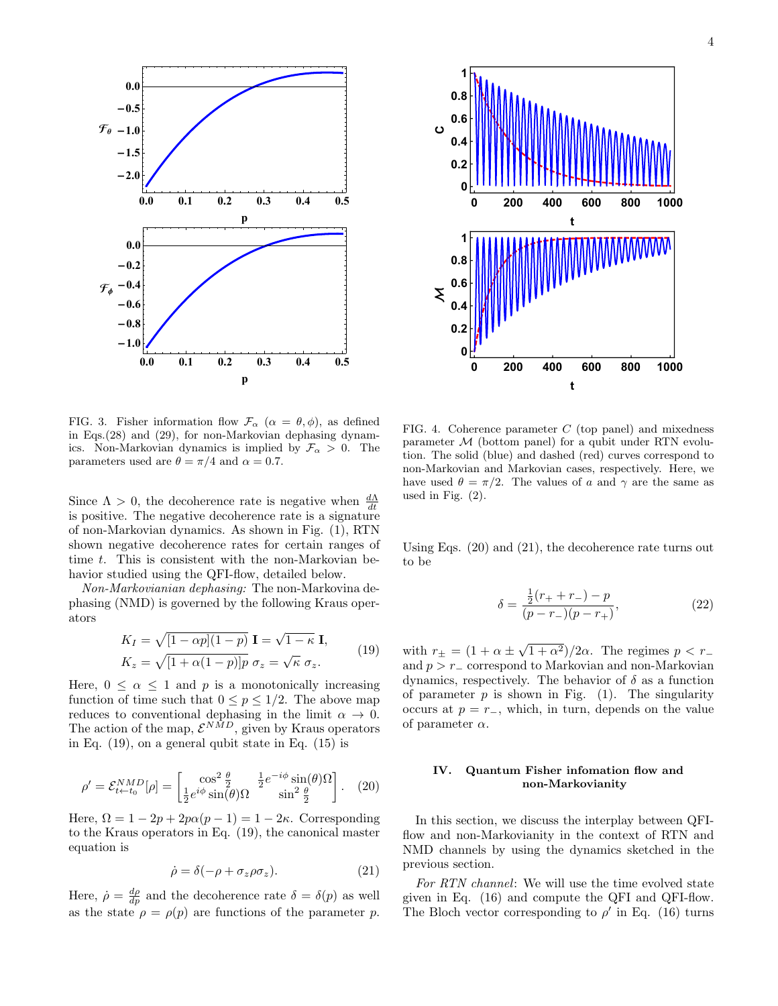



FIG. 3. Fisher information flow  $\mathcal{F}_{\alpha}$  ( $\alpha = \theta, \phi$ ), as defined in Eqs.(28) and (29), for non-Markovian dephasing dynamics. Non-Markovian dynamics is implied by  $\mathcal{F}_{\alpha} > 0$ . The parameters used are  $\theta = \pi/4$  and  $\alpha = 0.7$ .

Since  $\Lambda > 0$ , the decoherence rate is negative when  $\frac{d\Lambda}{dt}$ is positive. The negative decoherence rate is a signature of non-Markovian dynamics. As shown in Fig. (1), RTN shown negative decoherence rates for certain ranges of time t. This is consistent with the non-Markovian behavior studied using the QFI-flow, detailed below.

Non-Markovianian dephasing: The non-Markovina dephasing (NMD) is governed by the following Kraus operators

$$
K_I = \sqrt{[1 - \alpha p](1 - p)} \mathbf{I} = \sqrt{1 - \kappa} \mathbf{I},
$$
  
\n
$$
K_z = \sqrt{[1 + \alpha(1 - p)]p} \sigma_z = \sqrt{\kappa} \sigma_z.
$$
\n(19)

Here,  $0 \leq \alpha \leq 1$  and p is a monotonically increasing function of time such that  $0 \leq p \leq 1/2$ . The above map reduces to conventional dephasing in the limit  $\alpha \to 0$ . The action of the map,  $\mathcal{E}^{NMD}$ , given by Kraus operators in Eq. (19), on a general qubit state in Eq. (15) is

$$
\rho' = \mathcal{E}_{t \leftarrow t_0}^{NMD}[\rho] = \begin{bmatrix} \cos^2 \frac{\theta}{2} & \frac{1}{2} e^{-i\phi} \sin(\theta)\Omega\\ \frac{1}{2} e^{i\phi} \sin(\theta)\Omega & \sin^2 \frac{\theta}{2} \end{bmatrix} . \tag{20}
$$

Here,  $\Omega = 1 - 2p + 2p\alpha(p-1) = 1 - 2\kappa$ . Corresponding to the Kraus operators in Eq. (19), the canonical master equation is

$$
\dot{\rho} = \delta(-\rho + \sigma_z \rho \sigma_z). \tag{21}
$$

Here,  $\dot{\rho} = \frac{d\rho}{dp}$  and the decoherence rate  $\delta = \delta(p)$  as well as the state  $\rho = \rho(p)$  are functions of the parameter p.

FIG. 4. Coherence parameter  $C$  (top panel) and mixedness parameter  $M$  (bottom panel) for a qubit under RTN evolution. The solid (blue) and dashed (red) curves correspond to non-Markovian and Markovian cases, respectively. Here, we have used  $\theta = \pi/2$ . The values of a and  $\gamma$  are the same as used in Fig. (2).

Using Eqs. (20) and (21), the decoherence rate turns out to be

$$
\delta = \frac{\frac{1}{2}(r_+ + r_-) - p}{(p - r_-)(p - r_+)},\tag{22}
$$

with  $r_{\pm} = (1 + \alpha \pm \sqrt{1 + \alpha^2})/2\alpha$ . The regimes  $p < r_{-}$ and  $p > r_$  correspond to Markovian and non-Markovian dynamics, respectively. The behavior of  $\delta$  as a function of parameter  $p$  is shown in Fig. (1). The singularity occurs at  $p = r_-\,$ , which, in turn, depends on the value of parameter  $\alpha$ .

# IV. Quantum Fisher infomation flow and non-Markovianity

In this section, we discuss the interplay between QFIflow and non-Markovianity in the context of RTN and NMD channels by using the dynamics sketched in the previous section.

For RTN channel: We will use the time evolved state given in Eq. (16) and compute the QFI and QFI-flow. The Bloch vector corresponding to  $\rho'$  in Eq. (16) turns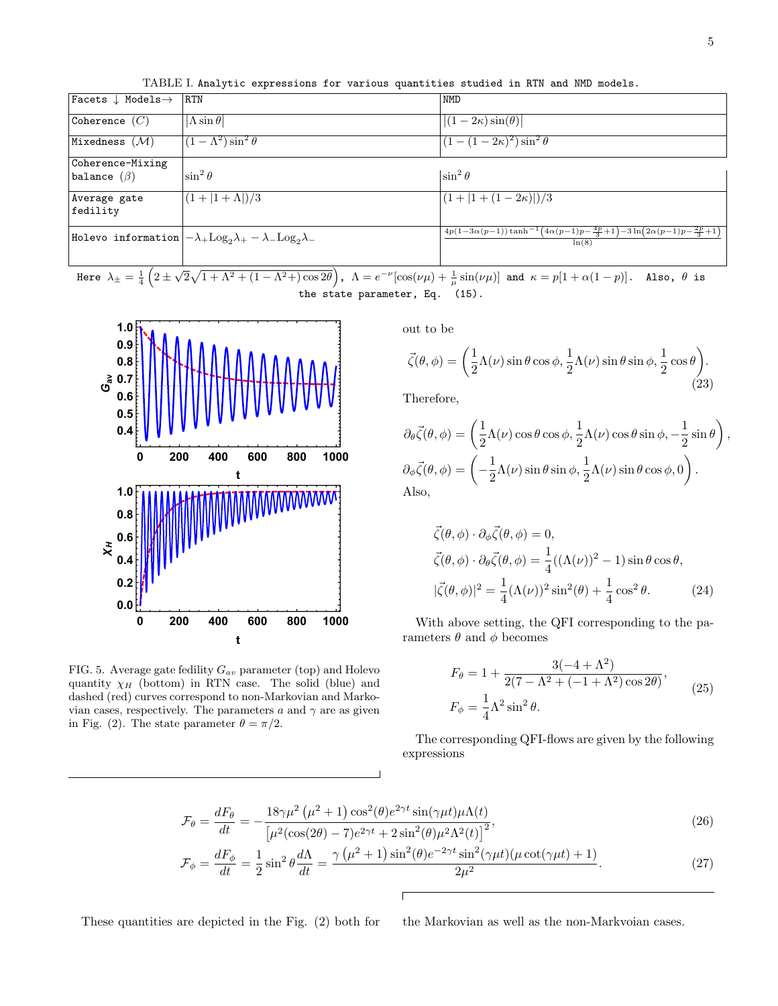| Facets $\downarrow$ Models $\rightarrow$ | <b>RTN</b>                                                                          | <b>NMD</b>                                                                                               |
|------------------------------------------|-------------------------------------------------------------------------------------|----------------------------------------------------------------------------------------------------------|
| Coherence $(C)$                          | $ \Lambda \sin \theta $                                                             | $ (1-2\kappa)\sin(\theta) $                                                                              |
| Mixedness $(\mathcal{M})$                | $(1 - \Lambda^2) \sin^2 \theta$                                                     | $(1-(1-2\kappa)^2)\sin^2\theta$                                                                          |
| Coherence-Mixing                         |                                                                                     |                                                                                                          |
| balance $(\beta)$                        | $\sin^2\theta$                                                                      | $\sin^2\theta$                                                                                           |
| Average gate<br>fedility                 | $ (1+ 1+\Lambda )/3$                                                                | $(1+ 1+(1-2\kappa) )/3$                                                                                  |
|                                          | Holevo information $ -\lambda_{+}Log_{2}\lambda_{+}-\lambda_{-}Log_{2}\lambda_{-} $ | $4p(1-3\alpha(p-1))\tanh^{-1}(4\alpha(p-1)p-\frac{4p}{3}+1)-3\ln(2\alpha(p-1)p-\frac{2p}{3}+1)$<br>ln(8) |

TABLE I. Analytic expressions for various quantities studied in RTN and NMD models.

Here  $\lambda_{\pm}=\frac{1}{4}\left(2\pm\sqrt{2}\sqrt{1+\Lambda^2+(1-\Lambda^2{+})\cos2\theta}\right)$ ,  $\Lambda=e^{-\nu}[\cos(\nu\mu)+\frac{1}{\mu}\sin(\nu\mu)]$  and  $\kappa=p[1+\alpha(1-p)]$ . Also,  $\theta$  is the state parameter, Eq. (15).



FIG. 5. Average gate fedility  $G_{av}$  parameter (top) and Holevo quantity  $\chi_H$  (bottom) in RTN case. The solid (blue) and dashed (red) curves correspond to non-Markovian and Markovian cases, respectively. The parameters  $a$  and  $\gamma$  are as given in Fig. (2). The state parameter  $\theta = \pi/2$ .

out to be

$$
\vec{\zeta}(\theta,\phi) = \left(\frac{1}{2}\Lambda(\nu)\sin\theta\cos\phi, \frac{1}{2}\Lambda(\nu)\sin\theta\sin\phi, \frac{1}{2}\cos\theta\right). \tag{23}
$$

Therefore,

$$
\partial_{\theta}\vec{\zeta}(\theta,\phi) = \left(\frac{1}{2}\Lambda(\nu)\cos\theta\cos\phi, \frac{1}{2}\Lambda(\nu)\cos\theta\sin\phi, -\frac{1}{2}\sin\theta\right),
$$
  

$$
\partial_{\phi}\vec{\zeta}(\theta,\phi) = \left(-\frac{1}{2}\Lambda(\nu)\sin\theta\sin\phi, \frac{1}{2}\Lambda(\nu)\sin\theta\cos\phi, 0\right).
$$
  
Also,

$$
\vec{\zeta}(\theta,\phi) \cdot \partial_{\phi} \vec{\zeta}(\theta,\phi) = 0,
$$
  
\n
$$
\vec{\zeta}(\theta,\phi) \cdot \partial_{\theta} \vec{\zeta}(\theta,\phi) = \frac{1}{4}((\Lambda(\nu))^2 - 1)\sin\theta\cos\theta,
$$
  
\n
$$
|\vec{\zeta}(\theta,\phi)|^2 = \frac{1}{4}(\Lambda(\nu))^2\sin^2(\theta) + \frac{1}{4}\cos^2\theta.
$$
 (24)

With above setting, the QFI corresponding to the parameters  $\theta$  and  $\phi$  becomes

$$
F_{\theta} = 1 + \frac{3(-4 + \Lambda^2)}{2(7 - \Lambda^2 + (-1 + \Lambda^2)\cos 2\theta)},
$$
  
\n
$$
F_{\phi} = \frac{1}{4}\Lambda^2 \sin^2 \theta.
$$
 (25)

The corresponding QFI-flows are given by the following expressions

$$
\mathcal{F}_{\theta} = \frac{dF_{\theta}}{dt} = -\frac{18\gamma\mu^{2}(\mu^{2}+1)\cos^{2}(\theta)e^{2\gamma t}\sin(\gamma\mu t)\mu\Lambda(t)}{[\mu^{2}(\cos(2\theta)-7)e^{2\gamma t}+2\sin^{2}(\theta)\mu^{2}\Lambda^{2}(t)]^{2}},
$$
\n(26)

$$
\mathcal{F}_{\phi} = \frac{dF_{\phi}}{dt} = \frac{1}{2}\sin^2\theta \frac{d\Lambda}{dt} = \frac{\gamma(\mu^2 + 1)\sin^2(\theta)e^{-2\gamma t}\sin^2(\gamma\mu t)(\mu\cot(\gamma\mu t) + 1)}{2\mu^2}.
$$
 (27)

These quantities are depicted in the Fig. (2) both for the Markovian as well as the non-Markvoian cases.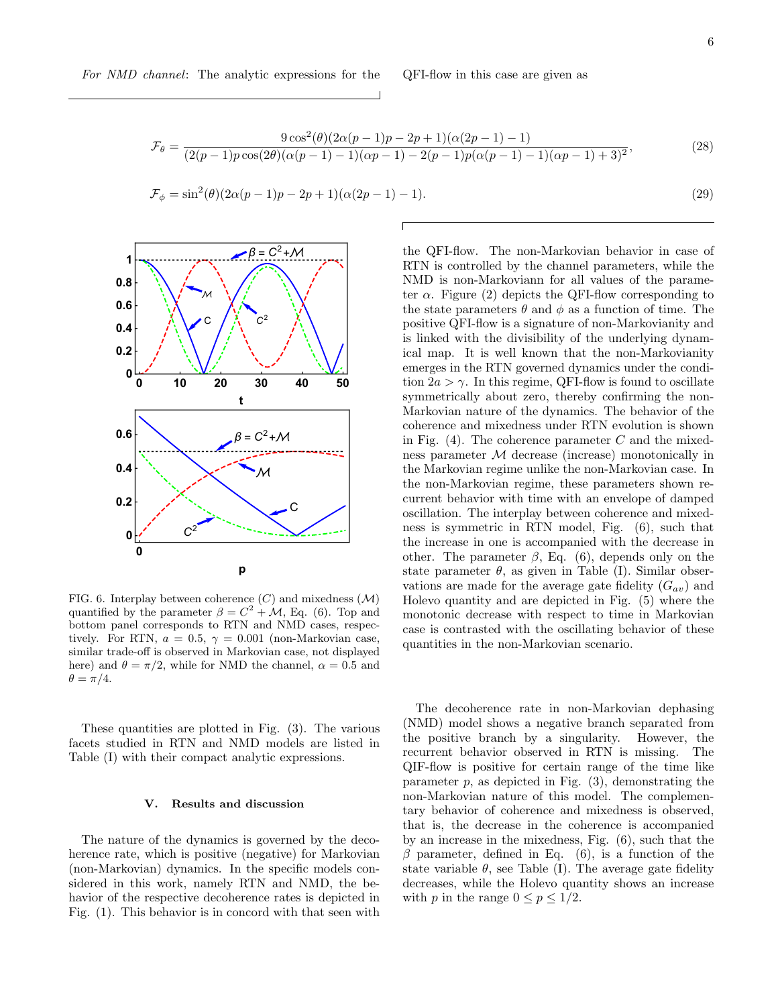$$
\mathcal{F}_{\theta} = \frac{9\cos^{2}(\theta)(2\alpha(p-1)p - 2p + 1)(\alpha(2p-1) - 1)}{(2(p-1)p\cos(2\theta)(\alpha(p-1) - 1)(\alpha p - 1) - 2(p-1)p(\alpha(p-1) - 1)(\alpha p - 1) + 3)^{2}},
$$
\n(28)

$$
\mathcal{F}_{\phi} = \sin^{2}(\theta)(2\alpha(p-1)p - 2p + 1)(\alpha(2p-1) - 1).
$$
\n(29)



FIG. 6. Interplay between coherence  $(C)$  and mixedness  $(M)$ quantified by the parameter  $\beta = C^2 + \mathcal{M}$ , Eq. (6). Top and bottom panel corresponds to RTN and NMD cases, respectively. For RTN,  $a = 0.5$ ,  $\gamma = 0.001$  (non-Markovian case, similar trade-off is observed in Markovian case, not displayed here) and  $\theta = \pi/2$ , while for NMD the channel,  $\alpha = 0.5$  and  $\theta=\pi/4.$ 

These quantities are plotted in Fig. (3). The various facets studied in RTN and NMD models are listed in Table (I) with their compact analytic expressions.

## V. Results and discussion

The nature of the dynamics is governed by the decoherence rate, which is positive (negative) for Markovian (non-Markovian) dynamics. In the specific models considered in this work, namely RTN and NMD, the behavior of the respective decoherence rates is depicted in Fig. (1). This behavior is in concord with that seen with

the QFI-flow. The non-Markovian behavior in case of RTN is controlled by the channel parameters, while the NMD is non-Markoviann for all values of the parameter  $\alpha$ . Figure (2) depicts the QFI-flow corresponding to the state parameters  $\theta$  and  $\phi$  as a function of time. The positive QFI-flow is a signature of non-Markovianity and is linked with the divisibility of the underlying dynamical map. It is well known that the non-Markovianity emerges in the RTN governed dynamics under the condition  $2a > \gamma$ . In this regime, QFI-flow is found to oscillate symmetrically about zero, thereby confirming the non-Markovian nature of the dynamics. The behavior of the coherence and mixedness under RTN evolution is shown in Fig.  $(4)$ . The coherence parameter C and the mixedness parameter M decrease (increase) monotonically in the Markovian regime unlike the non-Markovian case. In the non-Markovian regime, these parameters shown recurrent behavior with time with an envelope of damped oscillation. The interplay between coherence and mixedness is symmetric in RTN model, Fig. (6), such that the increase in one is accompanied with the decrease in other. The parameter  $\beta$ , Eq. (6), depends only on the state parameter  $\theta$ , as given in Table (I). Similar observations are made for the average gate fidelity  $(G_{av})$  and Holevo quantity and are depicted in Fig. (5) where the monotonic decrease with respect to time in Markovian case is contrasted with the oscillating behavior of these quantities in the non-Markovian scenario.

The decoherence rate in non-Markovian dephasing (NMD) model shows a negative branch separated from the positive branch by a singularity. However, the recurrent behavior observed in RTN is missing. The QIF-flow is positive for certain range of the time like parameter  $p$ , as depicted in Fig.  $(3)$ , demonstrating the non-Markovian nature of this model. The complementary behavior of coherence and mixedness is observed, that is, the decrease in the coherence is accompanied by an increase in the mixedness, Fig. (6), such that the β parameter, defined in Eq. (6), is a function of the state variable  $\theta$ , see Table (I). The average gate fidelity decreases, while the Holevo quantity shows an increase with p in the range  $0 \le p \le 1/2$ .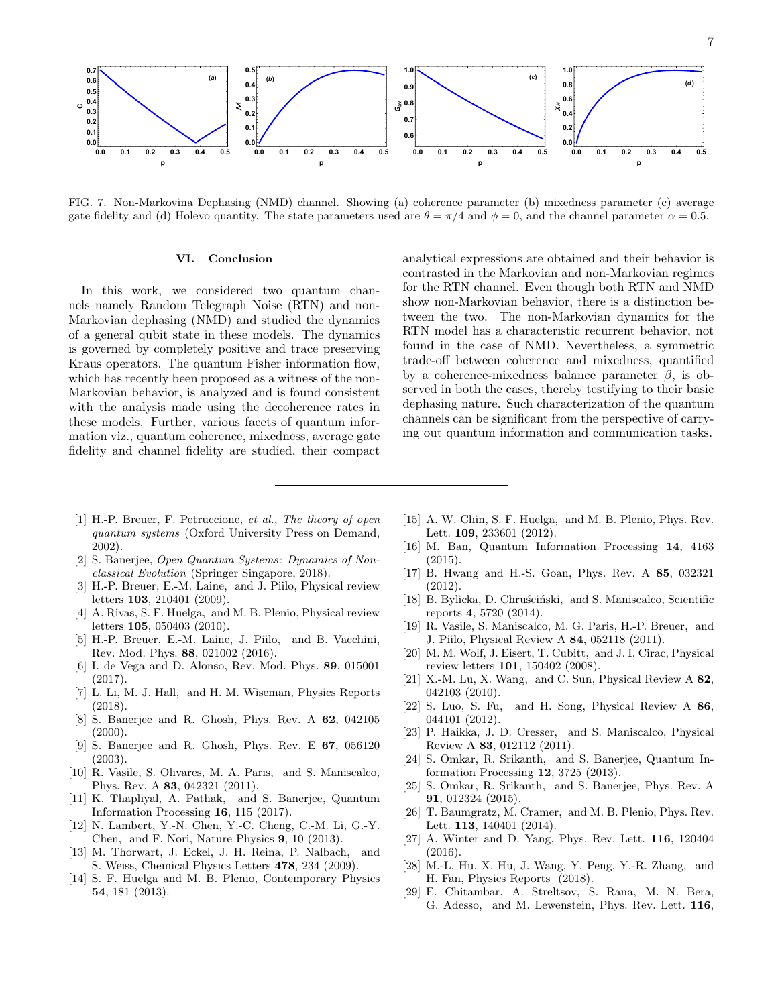

FIG. 7. Non-Markovina Dephasing (NMD) channel. Showing (a) coherence parameter (b) mixedness parameter (c) average gate fidelity and (d) Holevo quantity. The state parameters used are  $\theta = \pi/4$  and  $\phi = 0$ , and the channel parameter  $\alpha = 0.5$ .

### VI. Conclusion

In this work, we considered two quantum channels namely Random Telegraph Noise (RTN) and non-Markovian dephasing (NMD) and studied the dynamics of a general qubit state in these models. The dynamics is governed by completely positive and trace preserving Kraus operators. The quantum Fisher information flow, which has recently been proposed as a witness of the non-Markovian behavior, is analyzed and is found consistent with the analysis made using the decoherence rates in these models. Further, various facets of quantum information viz., quantum coherence, mixedness, average gate fidelity and channel fidelity are studied, their compact

analytical expressions are obtained and their behavior is contrasted in the Markovian and non-Markovian regimes for the RTN channel. Even though both RTN and NMD show non-Markovian behavior, there is a distinction between the two. The non-Markovian dynamics for the RTN model has a characteristic recurrent behavior, not found in the case of NMD. Nevertheless, a symmetric trade-off between coherence and mixedness, quantified by a coherence-mixedness balance parameter  $\beta$ , is observed in both the cases, thereby testifying to their basic dephasing nature. Such characterization of the quantum channels can be significant from the perspective of carrying out quantum information and communication tasks.

- [1] H.-P. Breuer, F. Petruccione, et al., The theory of open quantum systems (Oxford University Press on Demand, 2002).
- [2] S. Banerjee, Open Quantum Systems: Dynamics of Nonclassical Evolution (Springer Singapore, 2018).
- [3] H.-P. Breuer, E.-M. Laine, and J. Piilo, Physical review letters 103, 210401 (2009).
- [4] A. Rivas, S. F. Huelga, and M. B. Plenio, Physical review letters 105, 050403 (2010).
- [5] H.-P. Breuer, E.-M. Laine, J. Piilo, and B. Vacchini, Rev. Mod. Phys. 88, 021002 (2016).
- [6] I. de Vega and D. Alonso, Rev. Mod. Phys. 89, 015001 (2017).
- [7] L. Li, M. J. Hall, and H. M. Wiseman, Physics Reports (2018).
- [8] S. Banerjee and R. Ghosh, Phys. Rev. A 62, 042105  $(2000).$
- [9] S. Banerjee and R. Ghosh, Phys. Rev. E 67, 056120 (2003).
- [10] R. Vasile, S. Olivares, M. A. Paris, and S. Maniscalco, Phys. Rev. A 83, 042321 (2011).
- [11] K. Thapliyal, A. Pathak, and S. Banerjee, Quantum Information Processing 16, 115 (2017).
- [12] N. Lambert, Y.-N. Chen, Y.-C. Cheng, C.-M. Li, G.-Y. Chen, and F. Nori, Nature Physics 9, 10 (2013).
- [13] M. Thorwart, J. Eckel, J. H. Reina, P. Nalbach, and S. Weiss, Chemical Physics Letters 478, 234 (2009).
- [14] S. F. Huelga and M. B. Plenio, Contemporary Physics 54, 181 (2013).
- [15] A. W. Chin, S. F. Huelga, and M. B. Plenio, Phys. Rev. Lett. 109, 233601 (2012).
- [16] M. Ban, Quantum Information Processing 14, 4163 (2015).
- [17] B. Hwang and H.-S. Goan, Phys. Rev. A 85, 032321 (2012).
- [18] B. Bylicka, D. Chruściński, and S. Maniscalco, Scientific reports 4, 5720 (2014).
- [19] R. Vasile, S. Maniscalco, M. G. Paris, H.-P. Breuer, and J. Piilo, Physical Review A 84, 052118 (2011).
- [20] M. M. Wolf, J. Eisert, T. Cubitt, and J. I. Cirac, Physical review letters 101, 150402 (2008).
- [21] X.-M. Lu, X. Wang, and C. Sun, Physical Review A 82, 042103 (2010).
- [22] S. Luo, S. Fu, and H. Song, Physical Review A 86, 044101 (2012).
- [23] P. Haikka, J. D. Cresser, and S. Maniscalco, Physical Review A 83, 012112 (2011).
- [24] S. Omkar, R. Srikanth, and S. Banerjee, Quantum Information Processing 12, 3725 (2013).
- [25] S. Omkar, R. Srikanth, and S. Banerjee, Phys. Rev. A 91, 012324 (2015).
- [26] T. Baumgratz, M. Cramer, and M. B. Plenio, Phys. Rev. Lett. 113, 140401 (2014).
- [27] A. Winter and D. Yang, Phys. Rev. Lett. 116, 120404 (2016).
- [28] M.-L. Hu, X. Hu, J. Wang, Y. Peng, Y.-R. Zhang, and H. Fan, Physics Reports (2018).
- [29] E. Chitambar, A. Streltsov, S. Rana, M. N. Bera, G. Adesso, and M. Lewenstein, Phys. Rev. Lett. 116,